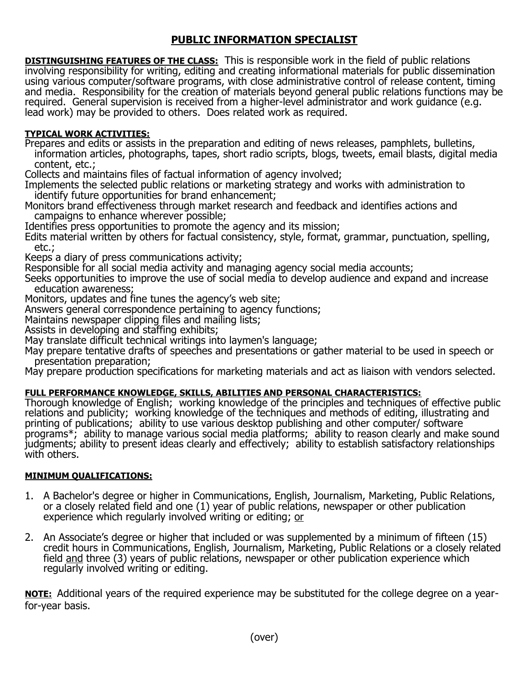## **PUBLIC INFORMATION SPECIALIST**

**DISTINGUISHING FEATURES OF THE CLASS:** This is responsible work in the field of public relations involving responsibility for writing, editing and creating informational materials for public dissemination using various computer/software programs, with close administrative control of release content, timing and media. Responsibility for the creation of materials beyond general public relations functions may be required. General supervision is received from a higher-level administrator and work guidance (e.g. lead work) may be provided to others. Does related work as required.

## **TYPICAL WORK ACTIVITIES:**

Prepares and edits or assists in the preparation and editing of news releases, pamphlets, bulletins, information articles, photographs, tapes, short radio scripts, blogs, tweets, email blasts, digital media content, etc.;

Collects and maintains files of factual information of agency involved;

Implements the selected public relations or marketing strategy and works with administration to identify future opportunities for brand enhancement;

Monitors brand effectiveness through market research and feedback and identifies actions and campaigns to enhance wherever possible;

Identifies press opportunities to promote the agency and its mission;

Edits material written by others for factual consistency, style, format, grammar, punctuation, spelling, etc.;

Keeps a diary of press communications activity;

Responsible for all social media activity and managing agency social media accounts;

Seeks opportunities to improve the use of social media to develop audience and expand and increase education awareness;

Monitors, updates and fine tunes the agency's web site;

Answers general correspondence pertaining to agency functions;

Maintains newspaper clipping files and mailing lists;

Assists in developing and staffing exhibits;

May translate difficult technical writings into laymen's language;

May prepare tentative drafts of speeches and presentations or gather material to be used in speech or presentation preparation;

May prepare production specifications for marketing materials and act as liaison with vendors selected.

## **FULL PERFORMANCE KNOWLEDGE, SKILLS, ABILITIES AND PERSONAL CHARACTERISTICS:**

Thorough knowledge of English; working knowledge of the principles and techniques of effective public relations and publicity; working knowledge of the techniques and methods of editing, illustrating and printing of publications; ability to use various desktop publishing and other computer/ software programs\*; ability to manage various social media platforms; ability to reason clearly and make sound judgments; ability to present ideas clearly and effectively; ability to establish satisfactory relationships with others.

## **MINIMUM QUALIFICATIONS:**

- 1. A Bachelor's degree or higher in Communications, English, Journalism, Marketing, Public Relations, or a closely related field and one (1) year of public relations, newspaper or other publication experience which regularly involved writing or editing; or
- 2. An Associate's degree or higher that included or was supplemented by a minimum of fifteen (15) credit hours in Communications, English, Journalism, Marketing, Public Relations or a closely related field and three (3) years of public relations, newspaper or other publication experience which regularly involved writing or editing.

**NOTE:** Additional years of the required experience may be substituted for the college degree on a yearfor-year basis.